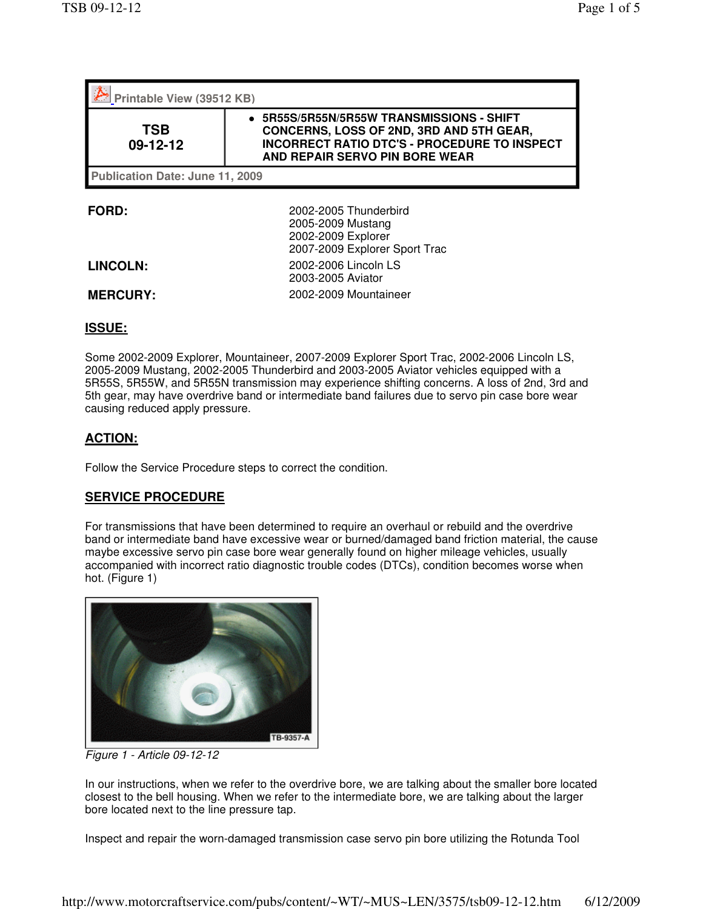| Printable View (39512 KB)       |                                                                                                                                                                              |
|---------------------------------|------------------------------------------------------------------------------------------------------------------------------------------------------------------------------|
| <b>TSB</b><br>09-12-12          | 5R55S/5R55N/5R55W TRANSMISSIONS - SHIFT<br>CONCERNS, LOSS OF 2ND, 3RD AND 5TH GEAR,<br><b>INCORRECT RATIO DTC'S - PROCEDURE TO INSPECT</b><br>AND REPAIR SERVO PIN BORE WEAR |
| Publication Date: June 11, 2009 |                                                                                                                                                                              |
| <b>FORD:</b>                    | 2002-2005 Thunderbird<br>2005-2009 Mustang<br>2002-2009 Explorer                                                                                                             |

| <b>LINCOLN:</b> |  |  |  |  |  |  |
|-----------------|--|--|--|--|--|--|
|-----------------|--|--|--|--|--|--|

2002-2009 Explorer 2007-2009 Explorer Sport Trac **LINCOLN:** 2002-2006 Lincoln LS 2003-2005 Aviator **MERCURY:** 2002-2009 Mountaineer

## **ISSUE:**

Some 2002-2009 Explorer, Mountaineer, 2007-2009 Explorer Sport Trac, 2002-2006 Lincoln LS, 2005-2009 Mustang, 2002-2005 Thunderbird and 2003-2005 Aviator vehicles equipped with a 5R55S, 5R55W, and 5R55N transmission may experience shifting concerns. A loss of 2nd, 3rd and 5th gear, may have overdrive band or intermediate band failures due to servo pin case bore wear causing reduced apply pressure.

## **ACTION:**

Follow the Service Procedure steps to correct the condition.

## **SERVICE PROCEDURE**

For transmissions that have been determined to require an overhaul or rebuild and the overdrive band or intermediate band have excessive wear or burned/damaged band friction material, the cause maybe excessive servo pin case bore wear generally found on higher mileage vehicles, usually accompanied with incorrect ratio diagnostic trouble codes (DTCs), condition becomes worse when hot. (Figure 1)



Figure 1 - Article 09-12-12

In our instructions, when we refer to the overdrive bore, we are talking about the smaller bore located closest to the bell housing. When we refer to the intermediate bore, we are talking about the larger bore located next to the line pressure tap.

Inspect and repair the worn-damaged transmission case servo pin bore utilizing the Rotunda Tool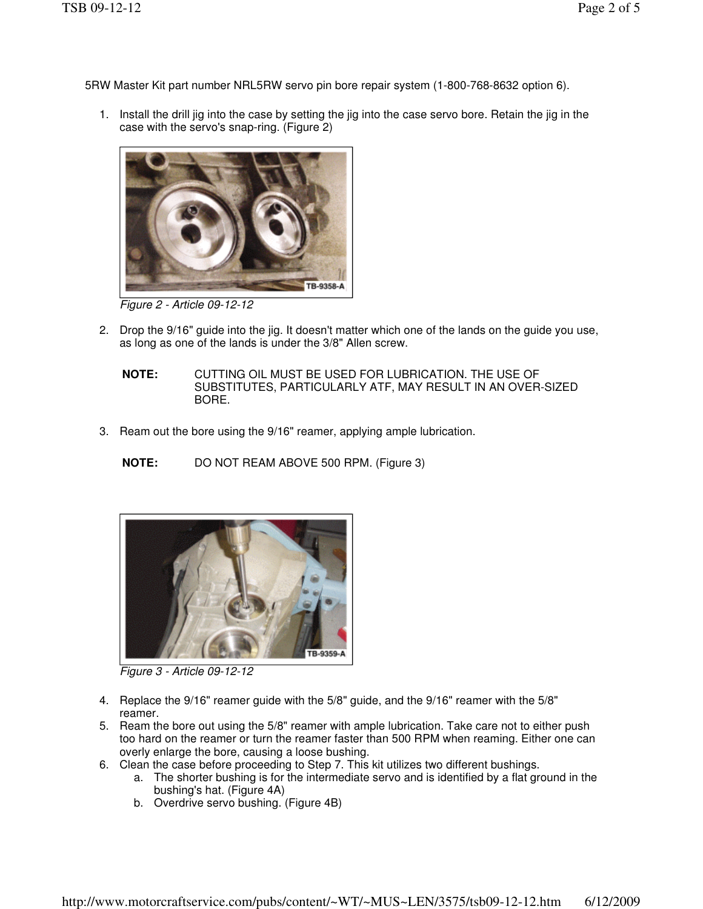5RW Master Kit part number NRL5RW servo pin bore repair system (1-800-768-8632 option 6).

1. Install the drill jig into the case by setting the jig into the case servo bore. Retain the jig in the case with the servo's snap-ring. (Figure 2)



Figure 2 - Article 09-12-12

- 2. Drop the 9/16" guide into the jig. It doesn't matter which one of the lands on the guide you use, as long as one of the lands is under the 3/8" Allen screw.
	- **NOTE:** CUTTING OIL MUST BE USED FOR LUBRICATION. THE USE OF SUBSTITUTES, PARTICULARLY ATF, MAY RESULT IN AN OVER-SIZED BORE.
- 3. Ream out the bore using the 9/16" reamer, applying ample lubrication.
	- **NOTE:** DO NOT REAM ABOVE 500 RPM. (Figure 3)



Figure 3 - Article 09-12-12

- 4. Replace the 9/16" reamer guide with the 5/8" guide, and the 9/16" reamer with the 5/8" reamer.
- 5. Ream the bore out using the 5/8" reamer with ample lubrication. Take care not to either push too hard on the reamer or turn the reamer faster than 500 RPM when reaming. Either one can overly enlarge the bore, causing a loose bushing.
- 6. Clean the case before proceeding to Step 7. This kit utilizes two different bushings.
	- a. The shorter bushing is for the intermediate servo and is identified by a flat ground in the bushing's hat. (Figure 4A)
	- b. Overdrive servo bushing. (Figure 4B)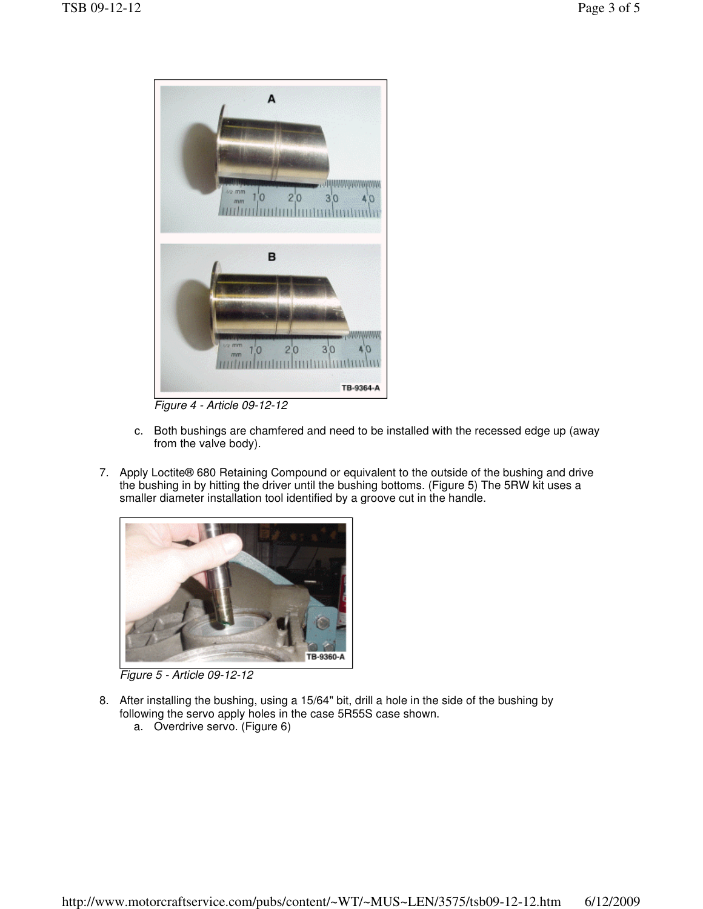

Figure 4 - Article 09-12-12

- c. Both bushings are chamfered and need to be installed with the recessed edge up (away from the valve body).
- 7. Apply Loctite® 680 Retaining Compound or equivalent to the outside of the bushing and drive the bushing in by hitting the driver until the bushing bottoms. (Figure 5) The 5RW kit uses a smaller diameter installation tool identified by a groove cut in the handle.



Figure 5 - Article 09-12-12

- 8. After installing the bushing, using a 15/64" bit, drill a hole in the side of the bushing by following the servo apply holes in the case 5R55S case shown.
	- a. Overdrive servo. (Figure 6)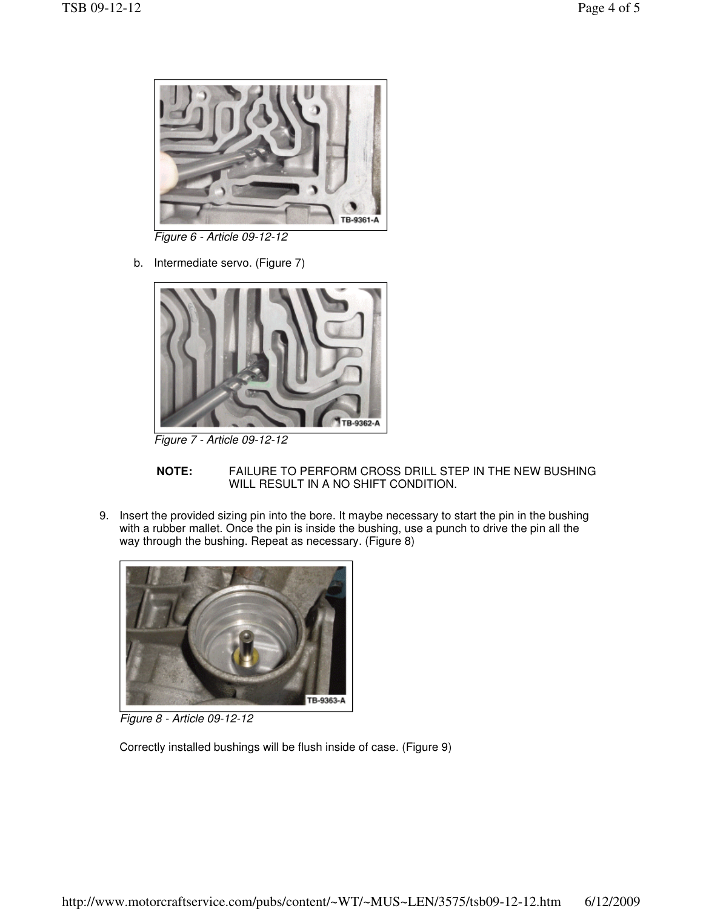

Figure 6 - Article 09-12-12

b. Intermediate servo. (Figure 7)



Figure 7 - Article 09-12-12

- **NOTE:** FAILURE TO PERFORM CROSS DRILL STEP IN THE NEW BUSHING WILL RESULT IN A NO SHIFT CONDITION.
- 9. Insert the provided sizing pin into the bore. It maybe necessary to start the pin in the bushing with a rubber mallet. Once the pin is inside the bushing, use a punch to drive the pin all the way through the bushing. Repeat as necessary. (Figure 8)



Figure 8 - Article 09-12-12

Correctly installed bushings will be flush inside of case. (Figure 9)